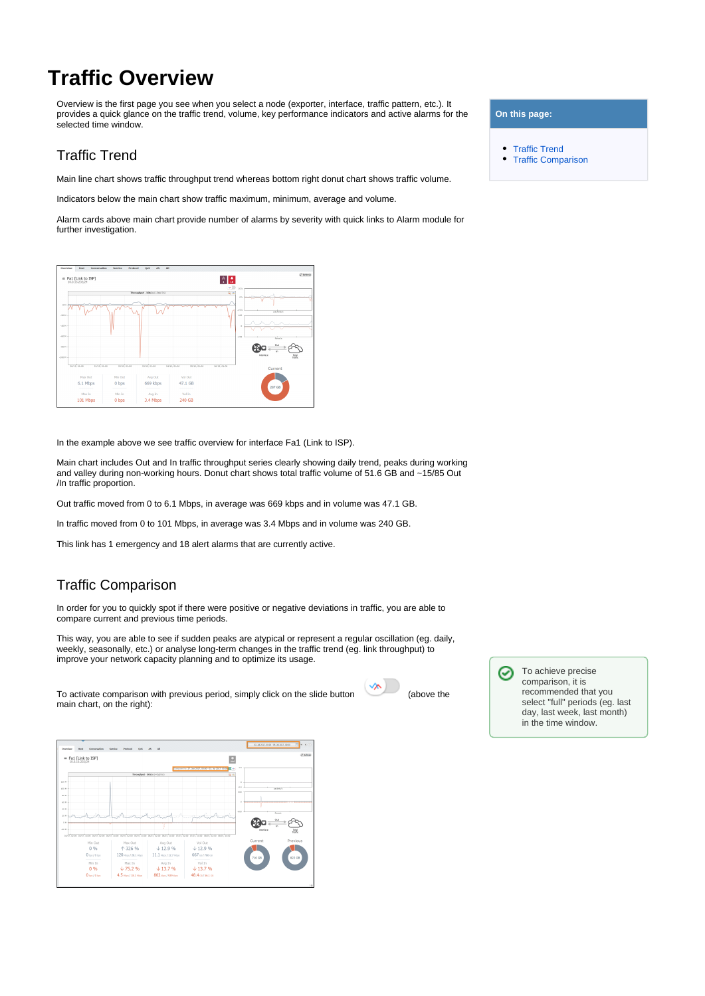## **Traffic Overview**

Overview is the first page you see when you select a node (exporter, interface, traffic pattern, etc.). It provides a quick glance on the traffic trend, volume, key performance indicators and active alarms for the selected time window.

## <span id="page-0-0"></span>Traffic Trend

Main line chart shows traffic throughput trend whereas bottom right donut chart shows traffic volume.

Indicators below the main chart show traffic maximum, minimum, average and volume.

Alarm cards above main chart provide number of alarms by severity with quick links to Alarm module for further investigation.

|                                |             |                |                              | $\bullet$<br>10            |                                     |
|--------------------------------|-------------|----------------|------------------------------|----------------------------|-------------------------------------|
| Throughput - bits/s (+Out/-1s) |             |                |                              | $Q_1$ as<br>0 <sup>1</sup> |                                     |
| 0N                             |             |                |                              |                            |                                     |
|                                |             |                |                              | (15.5)                     | ancesters.                          |
| $-20M$                         |             |                |                              | top                        |                                     |
| $-40$ M                        |             |                |                              |                            |                                     |
|                                |             |                |                              |                            |                                     |
| $-60M$                         |             |                |                              | $+100$                     | <b>Toyotta</b>                      |
| $-00M$                         |             |                |                              |                            | Out                                 |
| $-100$ M                       |             |                |                              |                            | tn.<br>Tatal<br>Vaffic<br>Interface |
|                                |             |                |                              |                            |                                     |
| 20/12, 01:00<br>21/12, 01:00   | 22/12/01:00 | 23/12, 01:00   | 25/12, 01:00<br>24/12, 01:00 | 26/12, 01:00               | Current                             |
| Max Out                        | Min Out     | <b>Avg Out</b> | Vol Out                      |                            |                                     |
| 6.1 Mbps                       | 0 bps       | 669 kbps       | 47.1 GB                      |                            |                                     |
|                                | Min In      | Avg In         | Vol In                       |                            | 287 GB                              |
| Max In                         |             |                |                              |                            |                                     |

In the example above we see traffic overview for interface Fa1 (Link to ISP).

Main chart includes Out and In traffic throughput series clearly showing daily trend, peaks during working and valley during non-working hours. Donut chart shows total traffic volume of 51.6 GB and ~15/85 Out /In traffic proportion.

Out traffic moved from 0 to 6.1 Mbps, in average was 669 kbps and in volume was 47.1 GB.

In traffic moved from 0 to 101 Mbps, in average was 3.4 Mbps and in volume was 240 GB.

This link has 1 emergency and 18 alert alarms that are currently active.

## <span id="page-0-1"></span>Traffic Comparison

In order for you to quickly spot if there were positive or negative deviations in traffic, you are able to compare current and previous time periods.

This way, you are able to see if sudden peaks are atypical or represent a regular oscillation (eg. daily, weekly, seasonally, etc.) or analyse long-term changes in the traffic trend (eg. link throughput) to improve your network capacity planning and to optimize its usage.

To activate comparison with previous period, simply click on the slide button (above the main chart, on the right):



To achieve precise ⊘ comparison, it is recommended that you select "full" periods (eg. last day, last week, last month) in the time window.



## **On this page:**

- [Traffic Trend](#page-0-0)
- $\bullet$ [Traffic Comparison](#page-0-1)